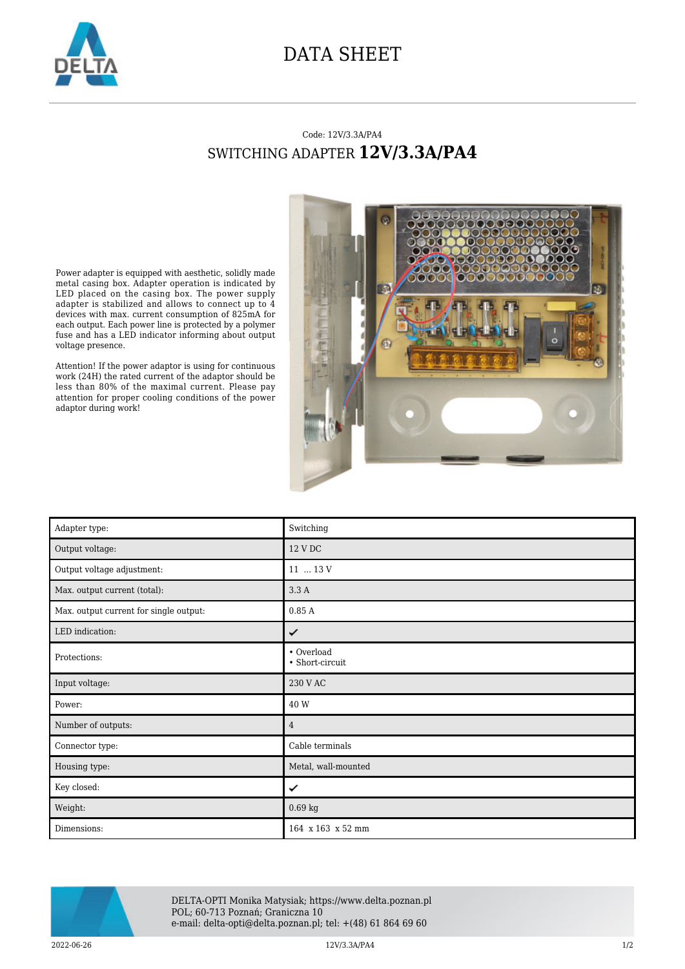

## DATA SHEET

## Code: 12V/3.3A/PA4 SWITCHING ADAPTER **12V/3.3A/PA4**

Power adapter is equipped with aesthetic, solidly made metal casing box. Adapter operation is indicated by LED placed on the casing box. The power supply adapter is stabilized and allows to connect up to 4 devices with max. current consumption of 825mA for each output. Each power line is protected by a polymer fuse and has a LED indicator informing about output voltage presence.

Attention! If the power adaptor is using for continuous work (24H) the rated current of the adaptor should be less than 80% of the maximal current. Please pay attention for proper cooling conditions of the power adaptor during work!



| Adapter type:                          | Switching                     |
|----------------------------------------|-------------------------------|
| Output voltage:                        | 12 V DC                       |
| Output voltage adjustment:             | 11  13 V                      |
| Max. output current (total):           | 3.3A                          |
| Max. output current for single output: | 0.85A                         |
| LED indication:                        | ✓                             |
| Protections:                           | • Overload<br>• Short-circuit |
| Input voltage:                         | 230 V AC                      |
| Power:                                 | 40 W                          |
| Number of outputs:                     | $\overline{4}$                |
| Connector type:                        | Cable terminals               |
| Housing type:                          | Metal, wall-mounted           |
| Key closed:                            | ✓                             |
| Weight:                                | $0.69$ kg                     |
| Dimensions:                            | 164 x 163 x 52 mm             |



DELTA-OPTI Monika Matysiak; https://www.delta.poznan.pl POL; 60-713 Poznań; Graniczna 10 e-mail: delta-opti@delta.poznan.pl; tel: +(48) 61 864 69 60

 $12V/3.3A/PA4$   $1/2$